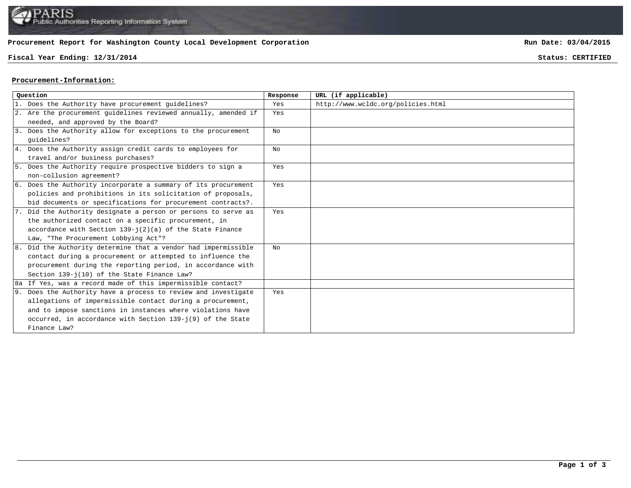# **Procurement Report for Washington County Local Development Corporation**

# **Fiscal Year Ending: 12/31/2014 Status: CERTIFIED**

**Run Date: 03/04/2015**

#### **Procurement-Information:**

| Ouestion |                                                                 | Response | URL (if applicable)                |
|----------|-----------------------------------------------------------------|----------|------------------------------------|
|          | 1. Does the Authority have procurement guidelines?              | Yes      | http://www.wcldc.org/policies.html |
|          | 2. Are the procurement guidelines reviewed annually, amended if | Yes      |                                    |
|          | needed, and approved by the Board?                              |          |                                    |
|          | 3. Does the Authority allow for exceptions to the procurement   | No       |                                    |
|          | quidelines?                                                     |          |                                    |
|          | 4. Does the Authority assign credit cards to employees for      | No       |                                    |
|          | travel and/or business purchases?                               |          |                                    |
|          | 5. Does the Authority require prospective bidders to sign a     | Yes      |                                    |
|          | non-collusion agreement?                                        |          |                                    |
|          | 6. Does the Authority incorporate a summary of its procurement  | Yes      |                                    |
|          | policies and prohibitions in its solicitation of proposals,     |          |                                    |
|          | bid documents or specifications for procurement contracts?.     |          |                                    |
|          | 7. Did the Authority designate a person or persons to serve as  | Yes      |                                    |
|          | the authorized contact on a specific procurement, in            |          |                                    |
|          | accordance with Section $139 - j(2)(a)$ of the State Finance    |          |                                    |
|          | Law, "The Procurement Lobbying Act"?                            |          |                                    |
|          | 8. Did the Authority determine that a vendor had impermissible  | No       |                                    |
|          | contact during a procurement or attempted to influence the      |          |                                    |
|          | procurement during the reporting period, in accordance with     |          |                                    |
|          | Section 139-j(10) of the State Finance Law?                     |          |                                    |
|          | 8a If Yes, was a record made of this impermissible contact?     |          |                                    |
|          | 9. Does the Authority have a process to review and investigate  | Yes      |                                    |
|          | allegations of impermissible contact during a procurement,      |          |                                    |
|          | and to impose sanctions in instances where violations have      |          |                                    |
|          | occurred, in accordance with Section 139-j(9) of the State      |          |                                    |
|          | Finance Law?                                                    |          |                                    |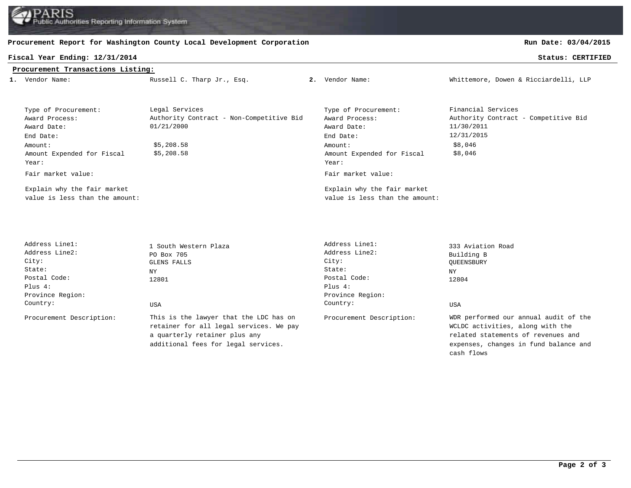**RIS** Authorities Reporting Information System

### **Procurement Report for Washington County Local Development Corporation**

#### **Fiscal Year Ending: 12/31/2014 Status: CERTIFIED**

# **Run Date: 03/04/2015**

| Procurement Transactions Listing:                                                                                                          |                                                                                                      |  |                                                                                                                                            |                                                                                                              |  |  |  |  |  |
|--------------------------------------------------------------------------------------------------------------------------------------------|------------------------------------------------------------------------------------------------------|--|--------------------------------------------------------------------------------------------------------------------------------------------|--------------------------------------------------------------------------------------------------------------|--|--|--|--|--|
| 1. Vendor Name:                                                                                                                            | Russell C. Tharp Jr., Esq.                                                                           |  | 2. Vendor Name:                                                                                                                            | Whittemore, Dowen & Ricciardelli, LLP                                                                        |  |  |  |  |  |
|                                                                                                                                            |                                                                                                      |  |                                                                                                                                            |                                                                                                              |  |  |  |  |  |
| Type of Procurement:<br>Award Process:<br>Award Date:<br>End Date:<br>Amount:<br>Amount Expended for Fiscal<br>Year:<br>Fair market value: | Legal Services<br>Authority Contract - Non-Competitive Bid<br>01/21/2000<br>\$5,208.58<br>\$5,208.58 |  | Type of Procurement:<br>Award Process:<br>Award Date:<br>End Date:<br>Amount:<br>Amount Expended for Fiscal<br>Year:<br>Fair market value: | Financial Services<br>Authority Contract - Competitive Bid<br>11/30/2011<br>12/31/2015<br>\$8,046<br>\$8,046 |  |  |  |  |  |
| Explain why the fair market<br>value is less than the amount:                                                                              |                                                                                                      |  | Explain why the fair market<br>value is less than the amount:                                                                              |                                                                                                              |  |  |  |  |  |
| Address Linel:<br>Address Line2:<br>City:<br>State:<br>Postal Code:<br>Plus 4:<br>Province Region:<br>Country:                             | 1 South Western Plaza<br>PO Box 705<br><b>GLENS FALLS</b><br>NY<br>12801<br><b>USA</b>               |  | Address Line1:<br>Address Line2:<br>City:<br>State:<br>Postal Code:<br>Plus $4:$<br>Province Region:<br>Country:                           | 333 Aviation Road<br>Building B<br>QUEENSBURY<br><b>NY</b><br>12804<br><b>USA</b>                            |  |  |  |  |  |

Procurement Description: This is the lawyer that the LDC has on Procurement Description: retainer for all legal services. We pay a quarterly retainer plus any additional fees for legal services.

WDR performed our annual audit of the WCLDC activities, along with the related statements of revenues and expenses, changes in fund balance and cash flows